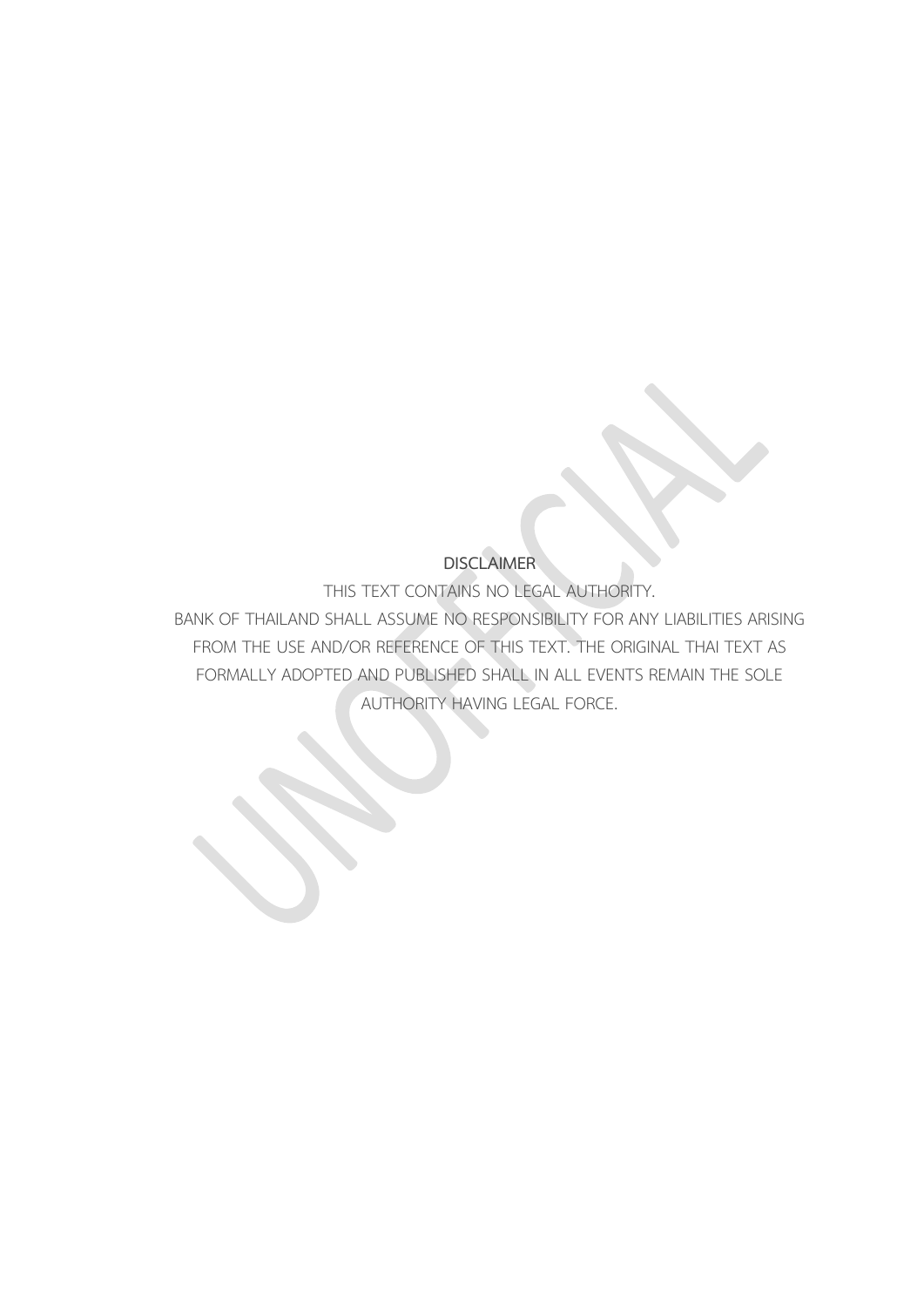### **DISCLAIMER**

THIS TEXT CONTAINS NO LEGAL AUTHORITY.

BANK OF THAILAND SHALL ASSUME NO RESPONSIBILITY FOR ANY LIABILITIES ARISING FROM THE USE AND/OR REFERENCE OF THIS TEXT. THE ORIGINAL THAI TEXT AS FORMALLY ADOPTED AND PUBLISHED SHALL IN ALL EVENTS REMAIN THE SOLE AUTHORITY HAVING LEGAL FORCE.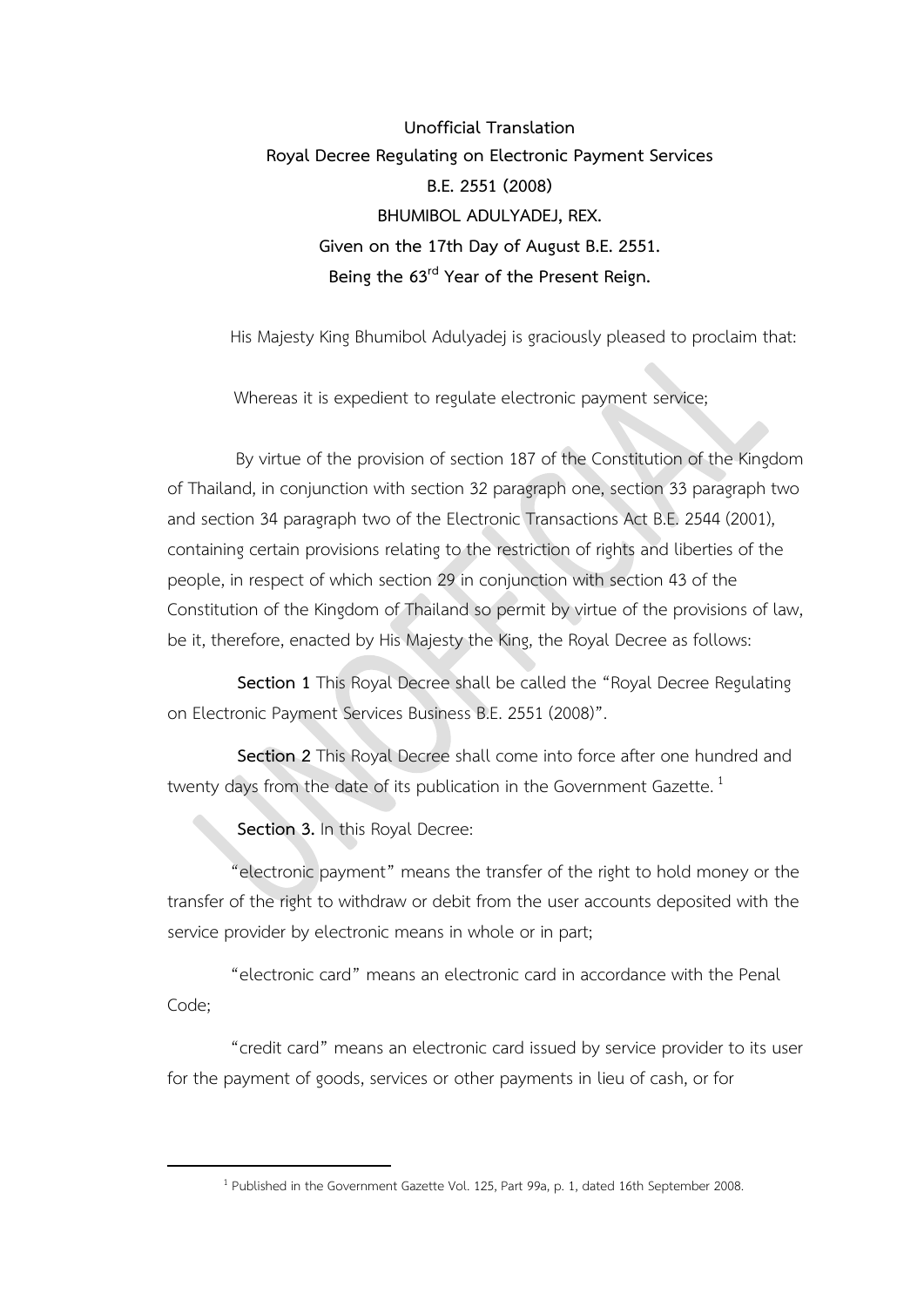**Unofficial Translation Royal Decree Regulating on Electronic Payment Services B.E. 2551 (2008) BHUMIBOL ADULYADEJ, REX. Given on the 17th Day of August B.E. 2551. Being the 63rd Year of the Present Reign.**

His Majesty King Bhumibol Adulyadej is graciously pleased to proclaim that:

Whereas it is expedient to regulate electronic payment service;

By virtue of the provision of section 187 of the Constitution of the Kingdom of Thailand, in conjunction with section 32 paragraph one, section 33 paragraph two and section 34 paragraph two of the Electronic Transactions Act B.E. 2544 (2001), containing certain provisions relating to the restriction of rights and liberties of the people, in respect of which section 29 in conjunction with section 43 of the Constitution of the Kingdom of Thailand so permit by virtue of the provisions of law, be it, therefore, enacted by His Majesty the King, the Royal Decree as follows:

**Section 1** This Royal Decree shall be called the "Royal Decree Regulating on Electronic Payment Services Business B.E. 2551 (2008)".

**Section 2** This Royal Decree shall come into force after one hundred and twenty days from the date of its publication in the Government Gazette.<sup>1</sup>

**Section 3.** In this Royal Decree:

1

"electronic payment" means the transfer of the right to hold money or the transfer of the right to withdraw or debit from the user accounts deposited with the service provider by electronic means in whole or in part;

"electronic card" means an electronic card in accordance with the Penal Code;

"credit card" means an electronic card issued by service provider to its user for the payment of goods, services or other payments in lieu of cash, or for

<sup>&</sup>lt;sup>1</sup> Published in the Government Gazette Vol. 125, Part 99a, p. 1, dated 16th September 2008.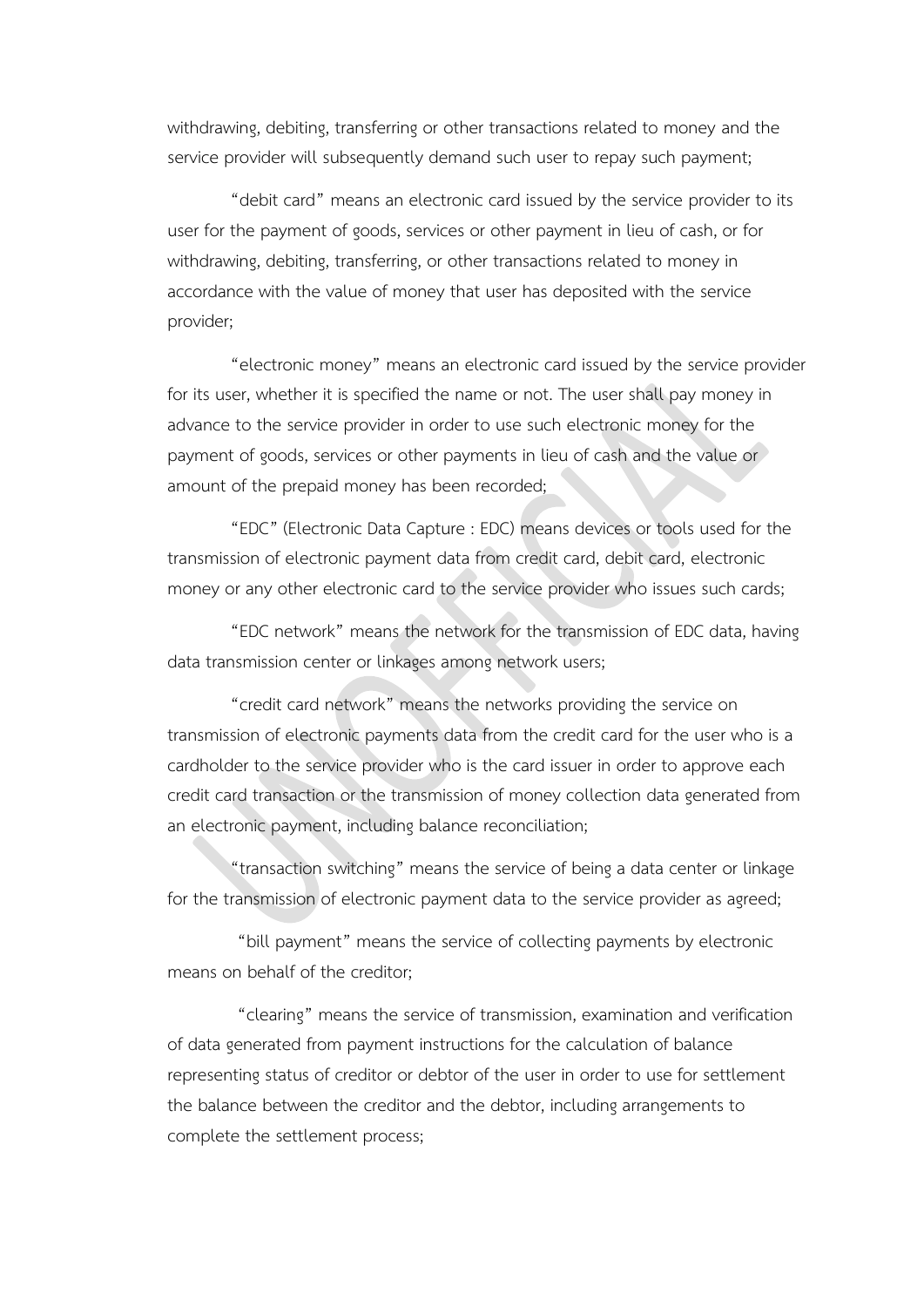withdrawing, debiting, transferring or other transactions related to money and the service provider will subsequently demand such user to repay such payment;

"debit card" means an electronic card issued by the service provider to its user for the payment of goods, services or other payment in lieu of cash, or for withdrawing, debiting, transferring, or other transactions related to money in accordance with the value of money that user has deposited with the service provider;

"electronic money" means an electronic card issued by the service provider for its user, whether it is specified the name or not. The user shall pay money in advance to the service provider in order to use such electronic money for the payment of goods, services or other payments in lieu of cash and the value or amount of the prepaid money has been recorded;

"EDC" (Electronic Data Capture : EDC) means devices or tools used for the transmission of electronic payment data from credit card, debit card, electronic money or any other electronic card to the service provider who issues such cards;

"EDC network" means the network for the transmission of EDC data, having data transmission center or linkages among network users;

"credit card network" means the networks providing the service on transmission of electronic payments data from the credit card for the user who is a cardholder to the service provider who is the card issuer in order to approve each credit card transaction or the transmission of money collection data generated from an electronic payment, including balance reconciliation;

"transaction switching" means the service of being a data center or linkage for the transmission of electronic payment data to the service provider as agreed;

"bill payment" means the service of collecting payments by electronic means on behalf of the creditor;

"clearing" means the service of transmission, examination and verification of data generated from payment instructions for the calculation of balance representing status of creditor or debtor of the user in order to use for settlement the balance between the creditor and the debtor, including arrangements to complete the settlement process;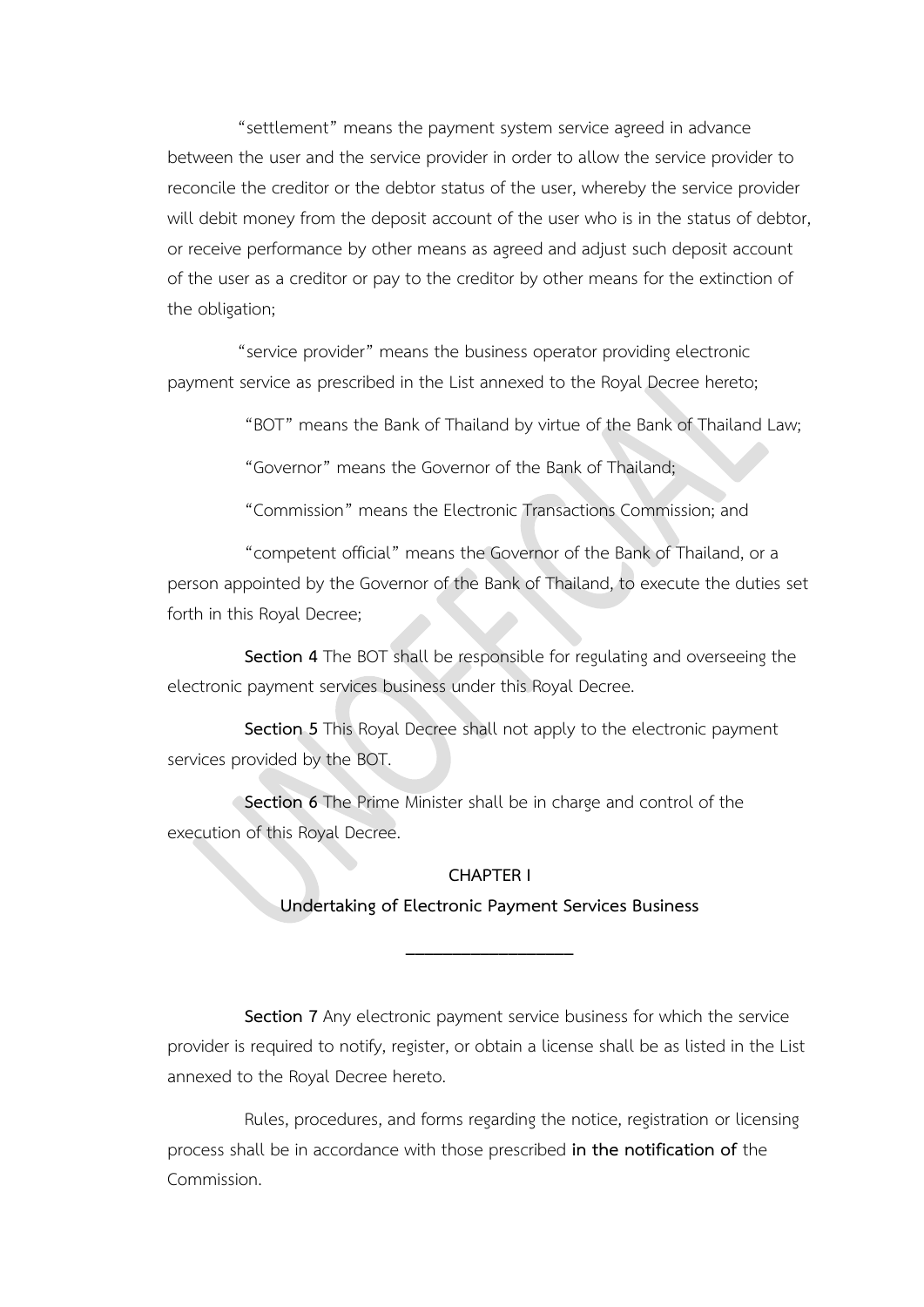"settlement" means the payment system service agreed in advance between the user and the service provider in order to allow the service provider to reconcile the creditor or the debtor status of the user, whereby the service provider will debit money from the deposit account of the user who is in the status of debtor, or receive performance by other means as agreed and adjust such deposit account of the user as a creditor or pay to the creditor by other means for the extinction of the obligation;

"service provider" means the business operator providing electronic payment service as prescribed in the List annexed to the Royal Decree hereto;

"BOT" means the Bank of Thailand by virtue of the Bank of Thailand Law;

"Governor" means the Governor of the Bank of Thailand;

"Commission" means the Electronic Transactions Commission; and

"competent official" means the Governor of the Bank of Thailand, or a person appointed by the Governor of the Bank of Thailand, to execute the duties set forth in this Royal Decree;

**Section 4** The BOT shall be responsible for regulating and overseeing the electronic payment services business under this Royal Decree.

**Section 5** This Royal Decree shall not apply to the electronic payment services provided by the BOT.

**Section 6** The Prime Minister shall be in charge and control of the execution of this Royal Decree.

#### **CHAPTER I**

**Undertaking of Electronic Payment Services Business**

**\_\_\_\_\_\_\_\_\_\_\_\_\_\_\_\_\_\_**

**Section 7** Any electronic payment service business for which the service provider is required to notify, register, or obtain a license shall be as listed in the List annexed to the Royal Decree hereto.

Rules, procedures, and forms regarding the notice, registration or licensing process shall be in accordance with those prescribed **in the notification of** the Commission.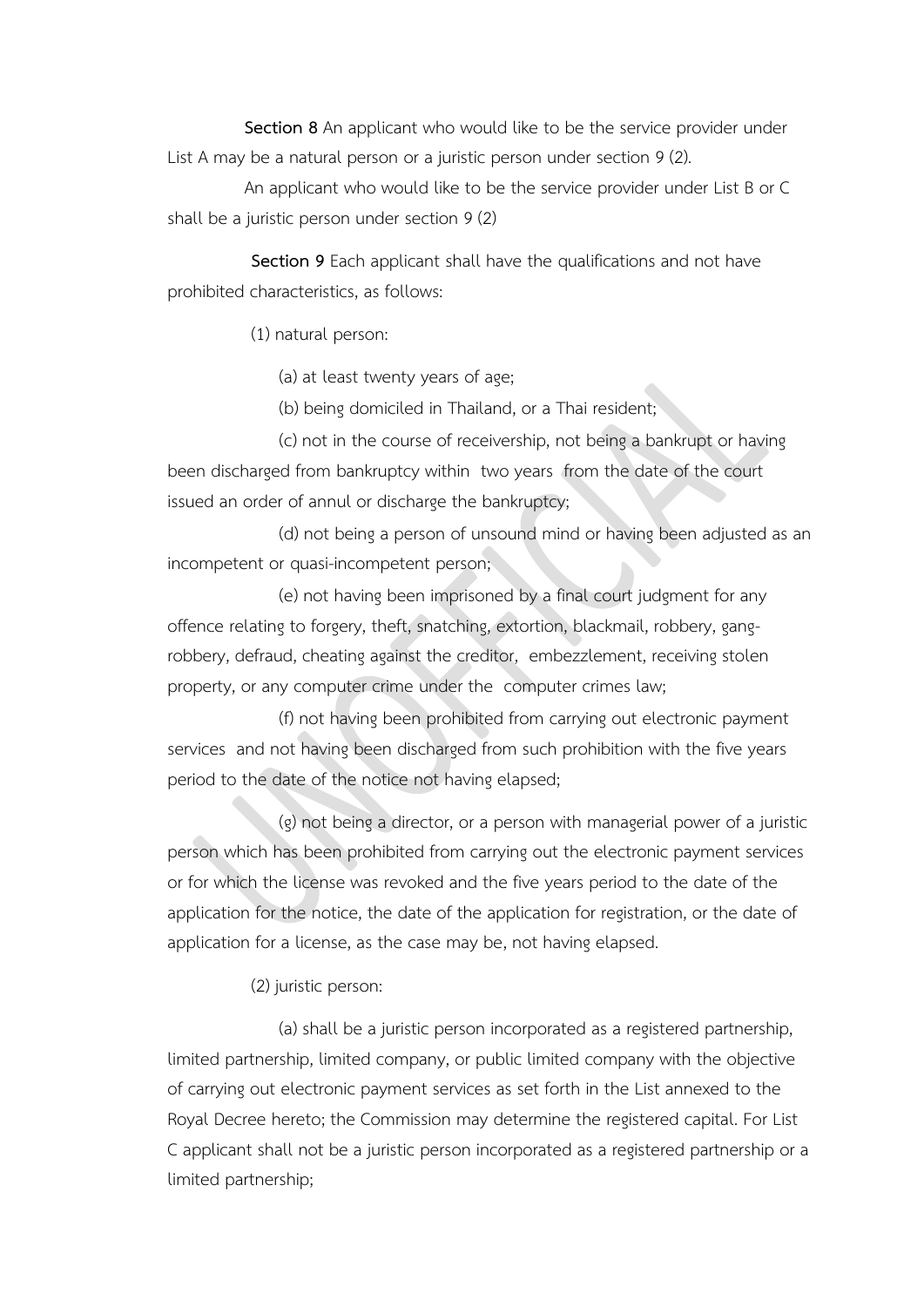**Section 8** An applicant who would like to be the service provider under List A may be a natural person or a juristic person under section 9 (2).

An applicant who would like to be the service provider under List B or C shall be a juristic person under section 9 (2)

**Section 9** Each applicant shall have the qualifications and not have prohibited characteristics, as follows:

(1) natural person:

(a) at least twenty years of age;

(b) being domiciled in Thailand, or a Thai resident;

(c) not in the course of receivership, not being a bankrupt or having been discharged from bankruptcy within two years from the date of the court issued an order of annul or discharge the bankruptcy;

(d) not being a person of unsound mind or having been adjusted as an incompetent or quasi-incompetent person;

(e) not having been imprisoned by a final court judgment for any offence relating to forgery, theft, snatching, extortion, blackmail, robbery, gangrobbery, defraud, cheating against the creditor, embezzlement, receiving stolen property, or any computer crime under the computer crimes law;

(f) not having been prohibited from carrying out electronic payment services and not having been discharged from such prohibition with the five years period to the date of the notice not having elapsed;

(g) not being a director, or a person with managerial power of a juristic person which has been prohibited from carrying out the electronic payment services or for which the license was revoked and the five years period to the date of the application for the notice, the date of the application for registration, or the date of application for a license, as the case may be, not having elapsed.

(2) juristic person:

(a) shall be a juristic person incorporated as a registered partnership, limited partnership, limited company, or public limited company with the objective of carrying out electronic payment services as set forth in the List annexed to the Royal Decree hereto; the Commission may determine the registered capital. For List C applicant shall not be a juristic person incorporated as a registered partnership or a limited partnership;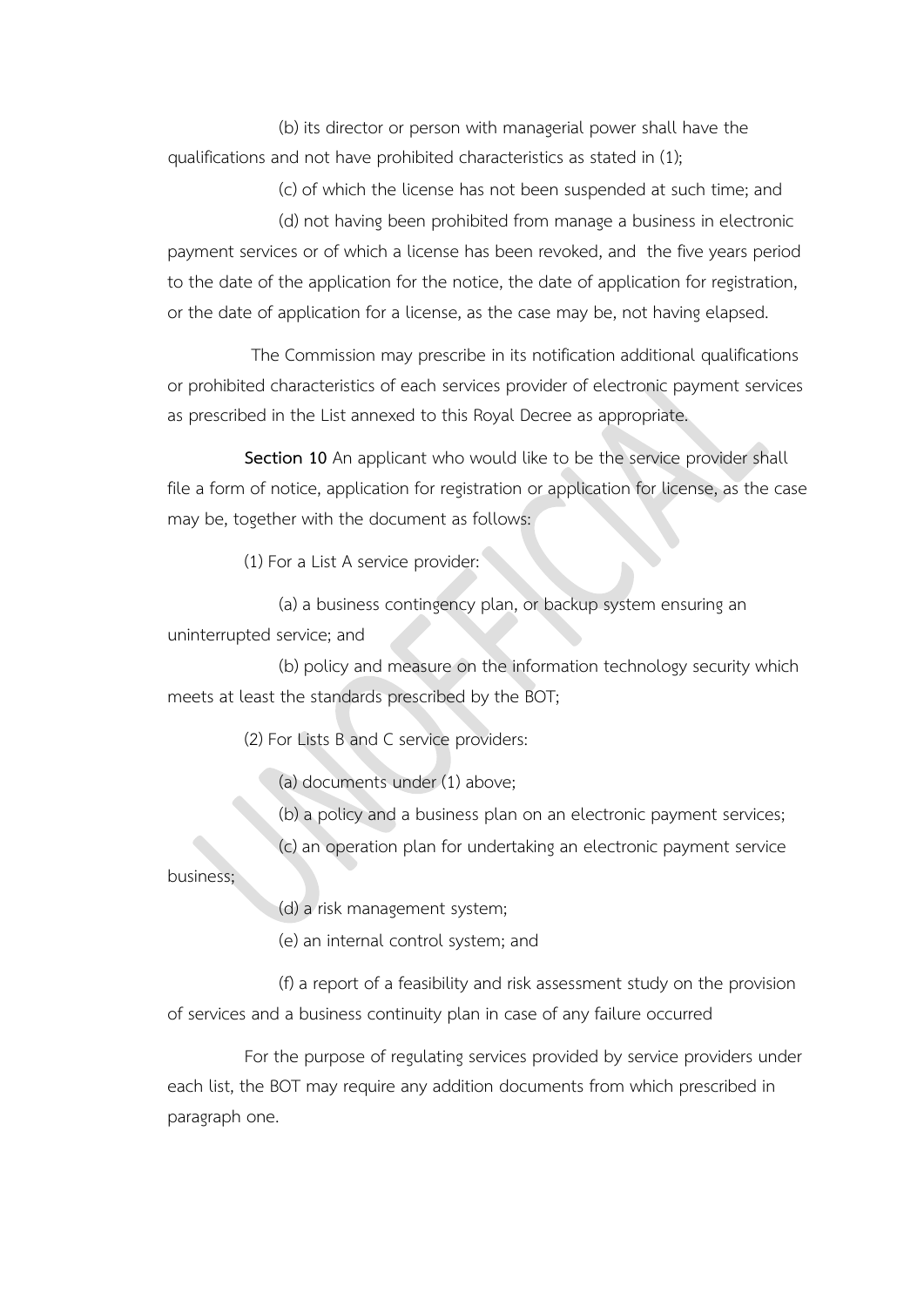(b) its director or person with managerial power shall have the qualifications and not have prohibited characteristics as stated in (1);

(c) of which the license has not been suspended at such time; and

(d) not having been prohibited from manage a business in electronic payment services or of which a license has been revoked, and the five years period to the date of the application for the notice, the date of application for registration, or the date of application for a license, as the case may be, not having elapsed.

The Commission may prescribe in its notification additional qualifications or prohibited characteristics of each services provider of electronic payment services as prescribed in the List annexed to this Royal Decree as appropriate.

**Section 10** An applicant who would like to be the service provider shall file a form of notice, application for registration or application for license, as the case may be, together with the document as follows:

(1) For a List A service provider:

(a) a business contingency plan, or backup system ensuring an uninterrupted service; and

(b) policy and measure on the information technology security which meets at least the standards prescribed by the BOT;

(2) For Lists B and C service providers:

(a) documents under (1) above;

(b) a policy and a business plan on an electronic payment services;

(c) an operation plan for undertaking an electronic payment service

business;

(d) a risk management system;

(e) an internal control system; and

(f) a report of a feasibility and risk assessment study on the provision of services and a business continuity plan in case of any failure occurred

For the purpose of regulating services provided by service providers under each list, the BOT may require any addition documents from which prescribed in paragraph one.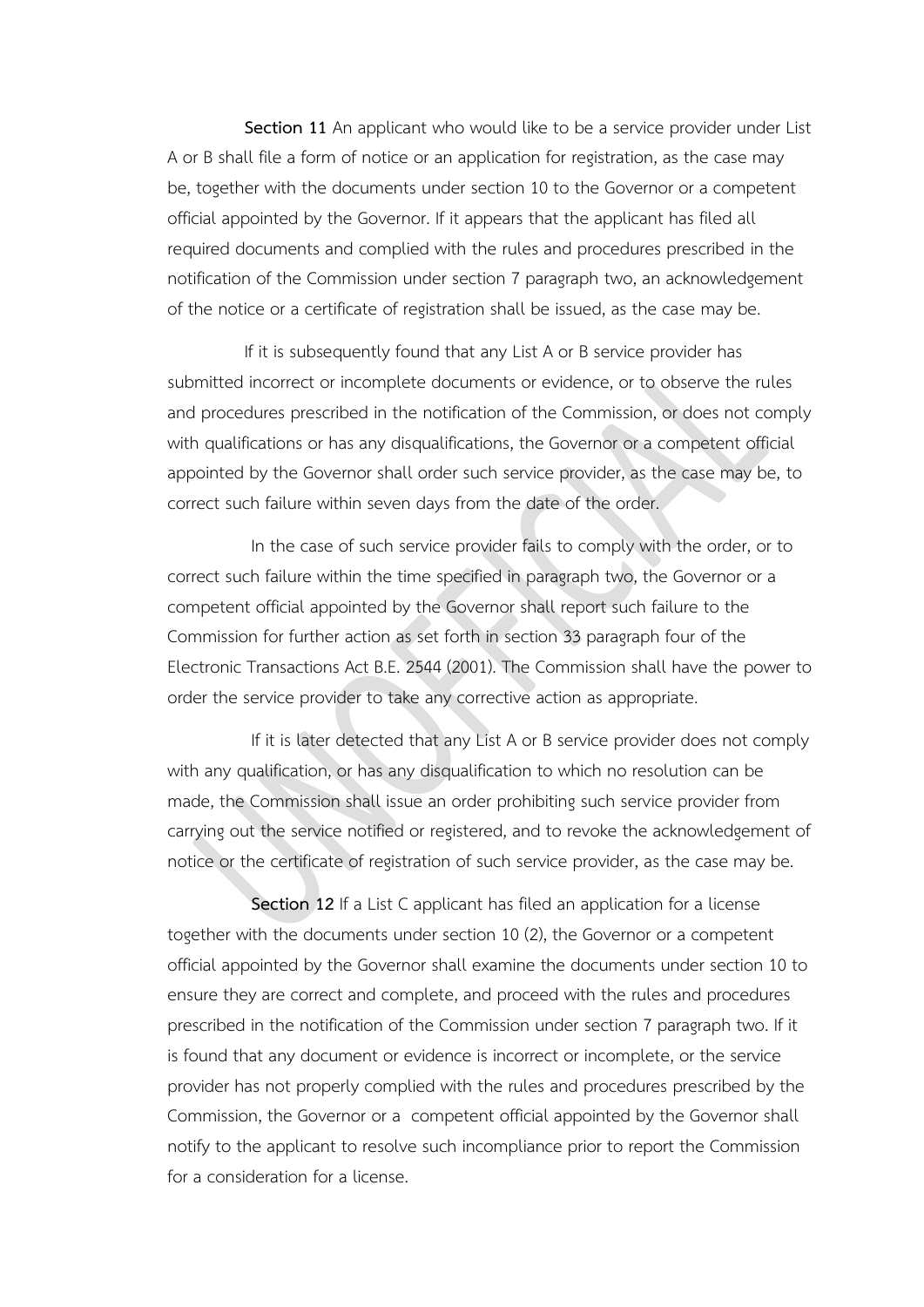**Section 11** An applicant who would like to be a service provider under List A or B shall file a form of notice or an application for registration, as the case may be, together with the documents under section 10 to the Governor or a competent official appointed by the Governor. If it appears that the applicant has filed all required documents and complied with the rules and procedures prescribed in the notification of the Commission under section 7 paragraph two, an acknowledgement of the notice or a certificate of registration shall be issued, as the case may be.

If it is subsequently found that any List A or B service provider has submitted incorrect or incomplete documents or evidence, or to observe the rules and procedures prescribed in the notification of the Commission, or does not comply with qualifications or has any disqualifications, the Governor or a competent official appointed by the Governor shall order such service provider, as the case may be, to correct such failure within seven days from the date of the order.

In the case of such service provider fails to comply with the order, or to correct such failure within the time specified in paragraph two, the Governor or a competent official appointed by the Governor shall report such failure to the Commission for further action as set forth in section 33 paragraph four of the Electronic Transactions Act B.E. 2544 (2001). The Commission shall have the power to order the service provider to take any corrective action as appropriate.

If it is later detected that any List A or B service provider does not comply with any qualification, or has any disqualification to which no resolution can be made, the Commission shall issue an order prohibiting such service provider from carrying out the service notified or registered, and to revoke the acknowledgement of notice or the certificate of registration of such service provider, as the case may be.

**Section 12** If a List C applicant has filed an application for a license together with the documents under section 10 (2), the Governor or a competent official appointed by the Governor shall examine the documents under section 10 to ensure they are correct and complete, and proceed with the rules and procedures prescribed in the notification of the Commission under section 7 paragraph two. If it is found that any document or evidence is incorrect or incomplete, or the service provider has not properly complied with the rules and procedures prescribed by the Commission, the Governor or a competent official appointed by the Governor shall notify to the applicant to resolve such incompliance prior to report the Commission for a consideration for a license.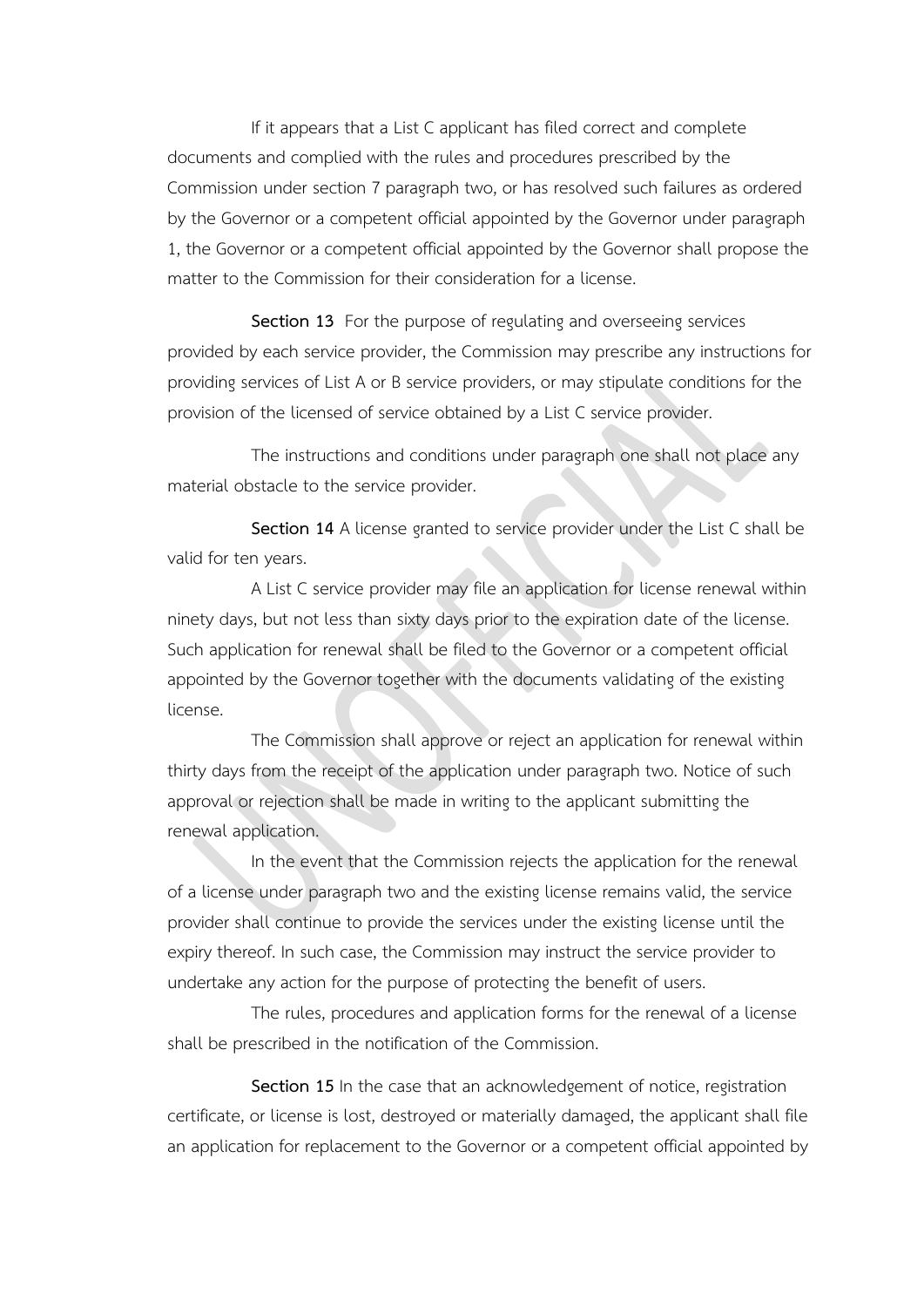If it appears that a List C applicant has filed correct and complete documents and complied with the rules and procedures prescribed by the Commission under section 7 paragraph two, or has resolved such failures as ordered by the Governor or a competent official appointed by the Governor under paragraph 1, the Governor or a competent official appointed by the Governor shall propose the matter to the Commission for their consideration for a license.

**Section 13** For the purpose of regulating and overseeing services provided by each service provider, the Commission may prescribe any instructions for providing services of List A or B service providers, or may stipulate conditions for the provision of the licensed of service obtained by a List C service provider.

The instructions and conditions under paragraph one shall not place any material obstacle to the service provider.

**Section 14** A license granted to service provider under the List C shall be valid for ten years.

A List C service provider may file an application for license renewal within ninety days, but not less than sixty days prior to the expiration date of the license. Such application for renewal shall be filed to the Governor or a competent official appointed by the Governor together with the documents validating of the existing license.

The Commission shall approve or reject an application for renewal within thirty days from the receipt of the application under paragraph two. Notice of such approval or rejection shall be made in writing to the applicant submitting the renewal application.

In the event that the Commission rejects the application for the renewal of a license under paragraph two and the existing license remains valid, the service provider shall continue to provide the services under the existing license until the expiry thereof. In such case, the Commission may instruct the service provider to undertake any action for the purpose of protecting the benefit of users.

The rules, procedures and application forms for the renewal of a license shall be prescribed in the notification of the Commission.

**Section 15** In the case that an acknowledgement of notice, registration certificate, or license is lost, destroyed or materially damaged, the applicant shall file an application for replacement to the Governor or a competent official appointed by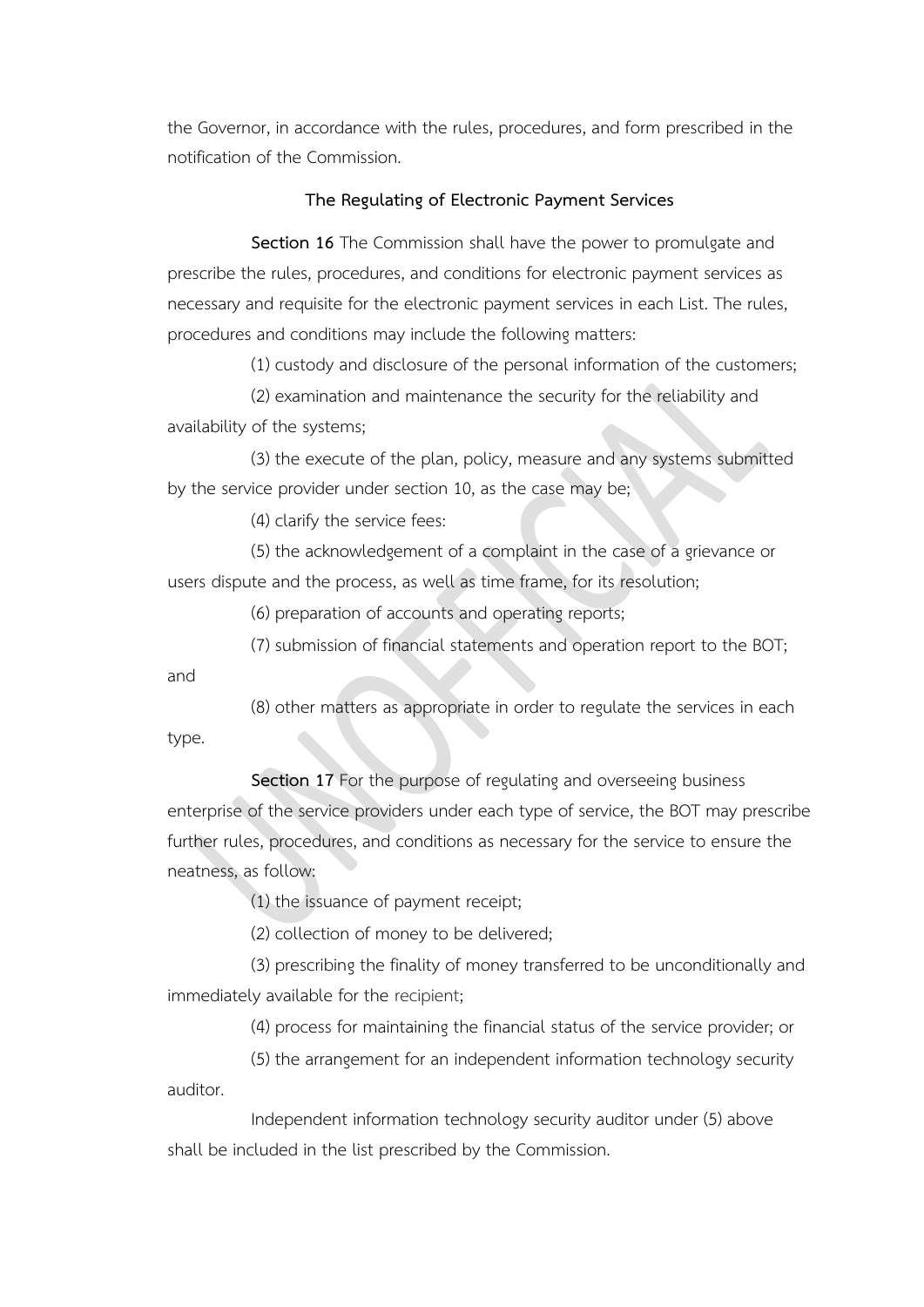the Governor, in accordance with the rules, procedures, and form prescribed in the notification of the Commission.

#### **The Regulating of Electronic Payment Services**

**Section 16** The Commission shall have the power to promulgate and prescribe the rules, procedures, and conditions for electronic payment services as necessary and requisite for the electronic payment services in each List. The rules, procedures and conditions may include the following matters:

(1) custody and disclosure of the personal information of the customers;

(2) examination and maintenance the security for the reliability and availability of the systems;

(3) the execute of the plan, policy, measure and any systems submitted by the service provider under section 10, as the case may be;

(4) clarify the service fees:

(5) the acknowledgement of a complaint in the case of a grievance or users dispute and the process, as well as time frame, for its resolution;

(6) preparation of accounts and operating reports;

(7) submission of financial statements and operation report to the BOT;

and

(8) other matters as appropriate in order to regulate the services in each type.

**Section 17** For the purpose of regulating and overseeing business enterprise of the service providers under each type of service, the BOT may prescribe further rules, procedures, and conditions as necessary for the service to ensure the neatness, as follow:

(1) the issuance of payment receipt;

(2) collection of money to be delivered;

(3) prescribing the finality of money transferred to be unconditionally and immediately available for the recipient;

(4) process for maintaining the financial status of the service provider; or

(5) the arrangement for an independent information technology security auditor.

Independent information technology security auditor under (5) above shall be included in the list prescribed by the Commission.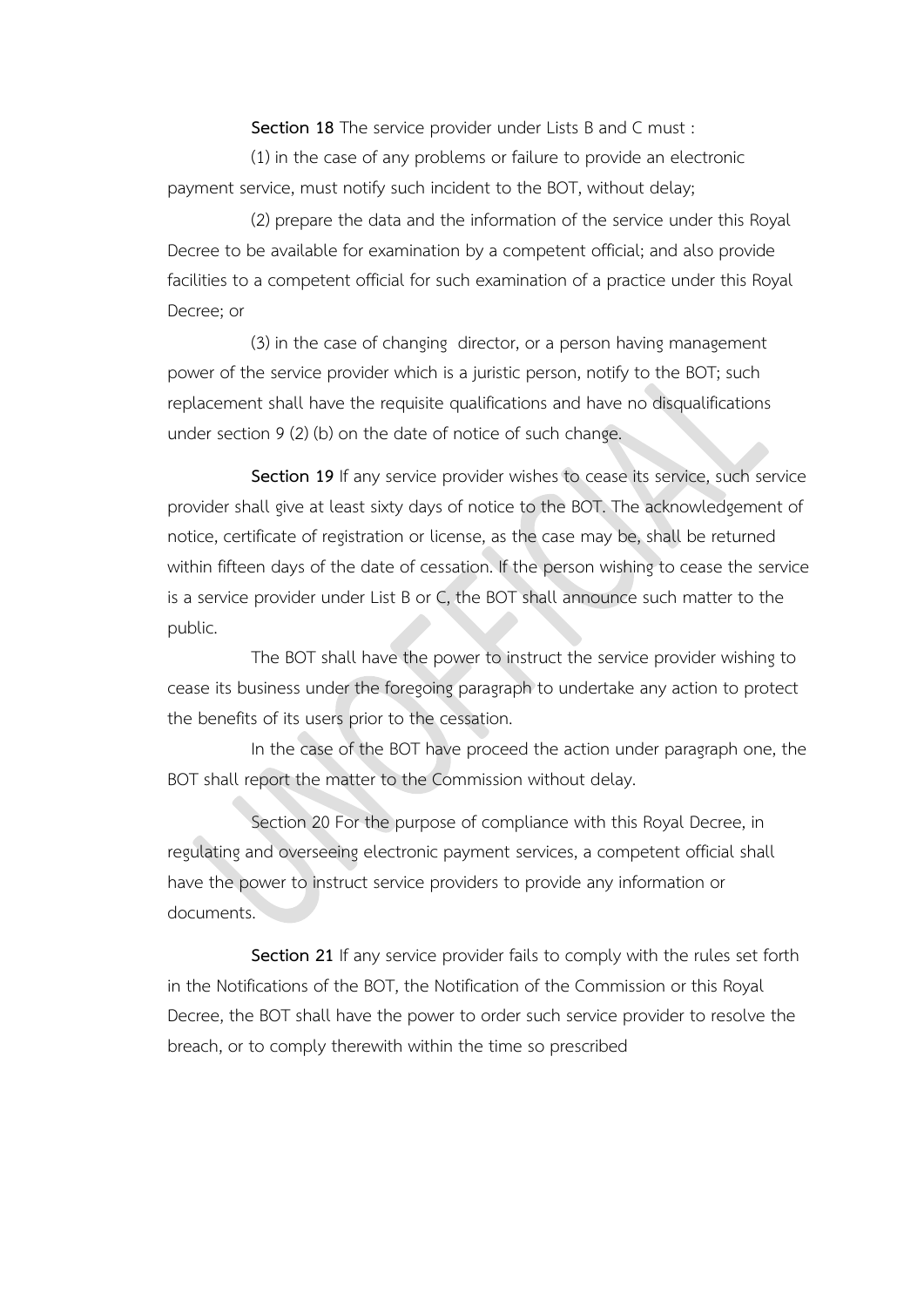**Section 18** The service provider under Lists B and C must :

(1) in the case of any problems or failure to provide an electronic payment service, must notify such incident to the BOT, without delay;

(2) prepare the data and the information of the service under this Royal Decree to be available for examination by a competent official; and also provide facilities to a competent official for such examination of a practice under this Royal Decree; or

(3) in the case of changing director, or a person having management power of the service provider which is a juristic person, notify to the BOT; such replacement shall have the requisite qualifications and have no disqualifications under section 9 (2) (b) on the date of notice of such change.

**Section 19** If any service provider wishes to cease its service, such service provider shall give at least sixty days of notice to the BOT. The acknowledgement of notice, certificate of registration or license, as the case may be, shall be returned within fifteen days of the date of cessation. If the person wishing to cease the service is a service provider under List B or C, the BOT shall announce such matter to the public.

The BOT shall have the power to instruct the service provider wishing to cease its business under the foregoing paragraph to undertake any action to protect the benefits of its users prior to the cessation.

In the case of the BOT have proceed the action under paragraph one, the BOT shall report the matter to the Commission without delay.

Section 20 For the purpose of compliance with this Royal Decree, in regulating and overseeing electronic payment services, a competent official shall have the power to instruct service providers to provide any information or documents.

**Section 21** If any service provider fails to comply with the rules set forth in the Notifications of the BOT, the Notification of the Commission or this Royal Decree, the BOT shall have the power to order such service provider to resolve the breach, or to comply therewith within the time so prescribed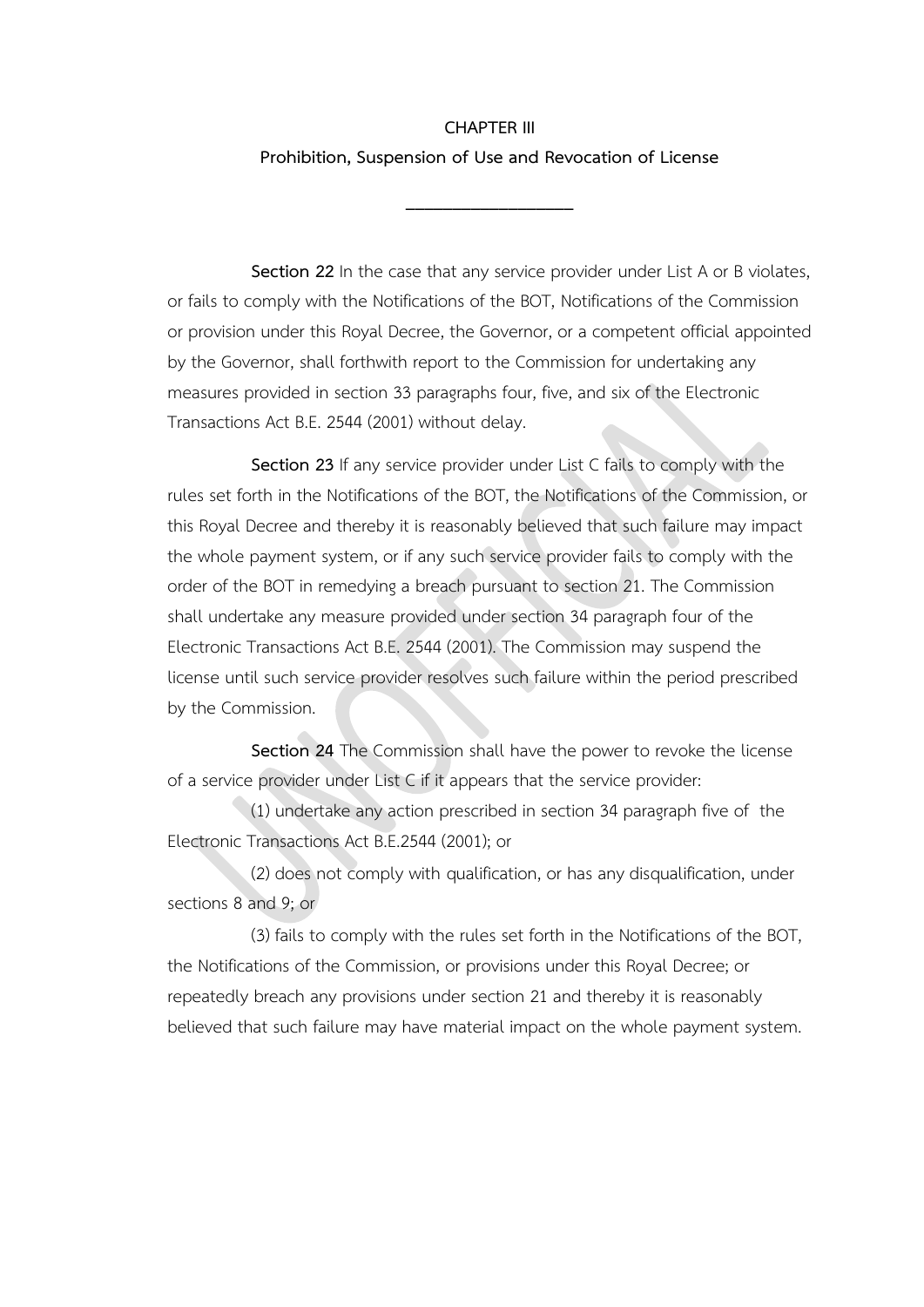# **CHAPTER III Prohibition, Suspension of Use and Revocation of License**

**\_\_\_\_\_\_\_\_\_\_\_\_\_\_\_\_\_\_**

**Section 22** In the case that any service provider under List A or B violates, or fails to comply with the Notifications of the BOT, Notifications of the Commission or provision under this Royal Decree, the Governor, or a competent official appointed by the Governor, shall forthwith report to the Commission for undertaking any measures provided in section 33 paragraphs four, five, and six of the Electronic Transactions Act B.E. 2544 (2001) without delay.

**Section 23** If any service provider under List C fails to comply with the rules set forth in the Notifications of the BOT, the Notifications of the Commission, or this Royal Decree and thereby it is reasonably believed that such failure may impact the whole payment system, or if any such service provider fails to comply with the order of the BOT in remedying a breach pursuant to section 21. The Commission shall undertake any measure provided under section 34 paragraph four of the Electronic Transactions Act B.E. 2544 (2001). The Commission may suspend the license until such service provider resolves such failure within the period prescribed by the Commission.

**Section 24** The Commission shall have the power to revoke the license of a service provider under List C if it appears that the service provider:

(1) undertake any action prescribed in section 34 paragraph five of the Electronic Transactions Act B.E.2544 (2001); or

(2) does not comply with qualification, or has any disqualification, under sections 8 and 9; or

(3) fails to comply with the rules set forth in the Notifications of the BOT, the Notifications of the Commission, or provisions under this Royal Decree; or repeatedly breach any provisions under section 21 and thereby it is reasonably believed that such failure may have material impact on the whole payment system.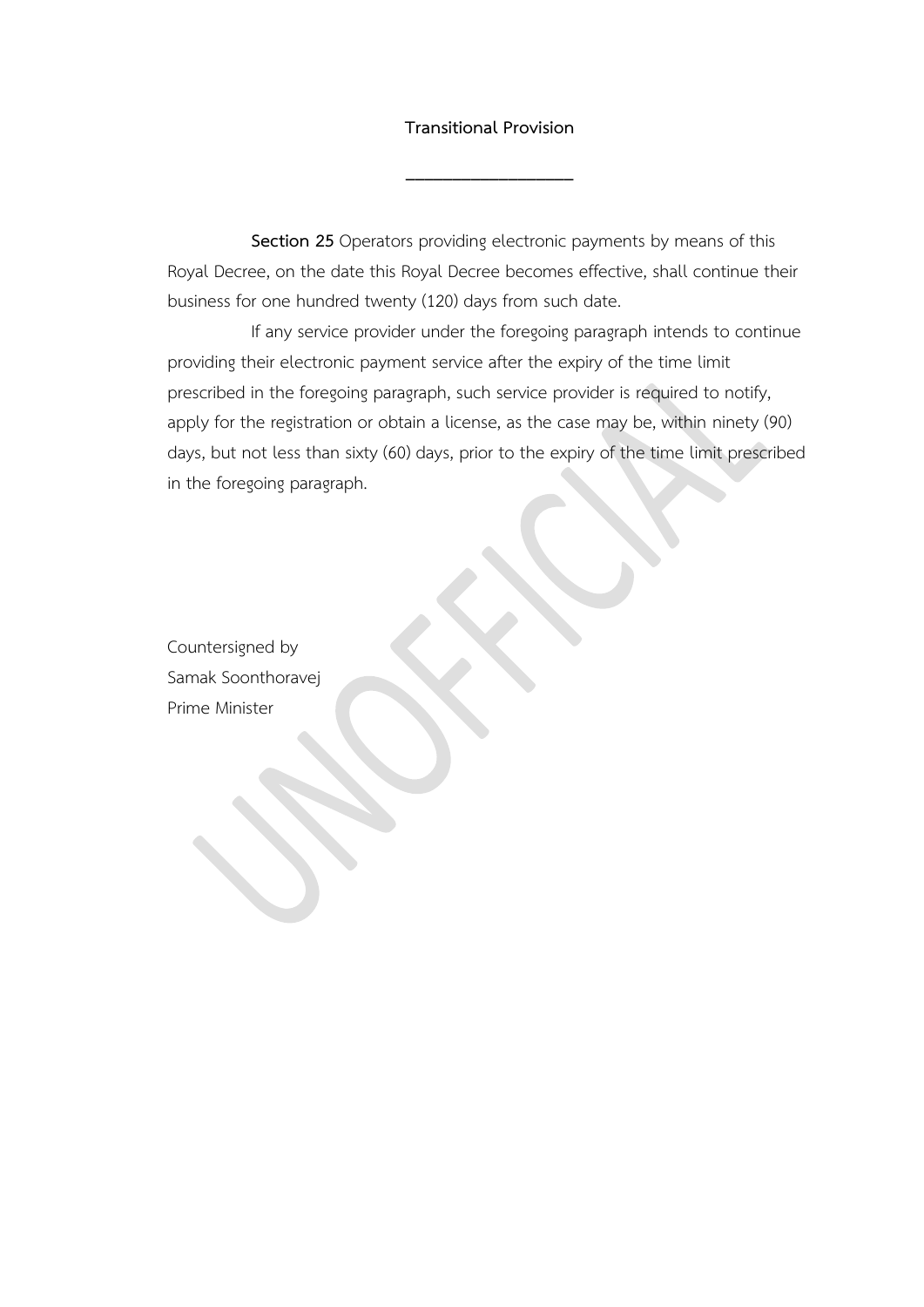#### **Transitional Provision**

**\_\_\_\_\_\_\_\_\_\_\_\_\_\_\_\_\_\_**

**Section 25** Operators providing electronic payments by means of this Royal Decree, on the date this Royal Decree becomes effective, shall continue their business for one hundred twenty (120) days from such date.

If any service provider under the foregoing paragraph intends to continue providing their electronic payment service after the expiry of the time limit prescribed in the foregoing paragraph, such service provider is required to notify, apply for the registration or obtain a license, as the case may be, within ninety (90) days, but not less than sixty (60) days, prior to the expiry of the time limit prescribed in the foregoing paragraph.

Countersigned by Samak Soonthoravej Prime Minister